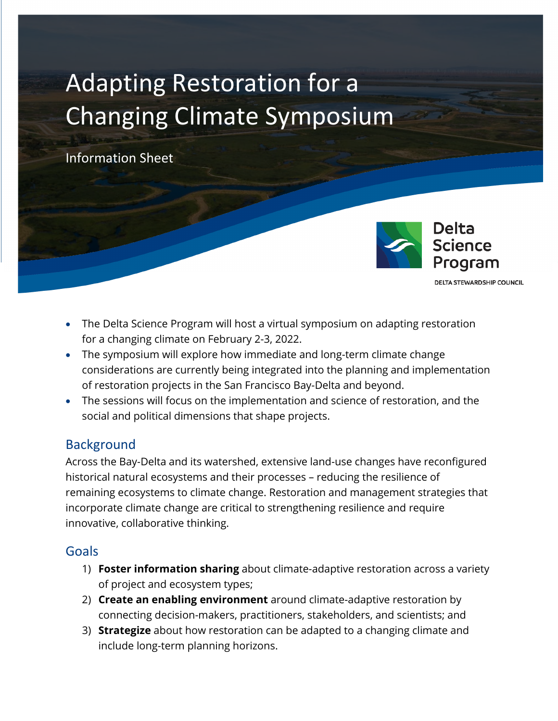# Adapting Restoration for a Changing Climate Symposium

Information Sheet



**DELTA STEWARDSHIP COUNCIL** 

- The Delta Science Program will host a virtual symposium on adapting restoration for a changing climate on February 2-3, 2022.
- The symposium will explore how immediate and long-term climate change considerations are currently being integrated into the planning and implementation of restoration projects in the San Francisco Bay-Delta and beyond.
- The sessions will focus on the implementation and science of restoration, and the social and political dimensions that shape projects.

#### **Background**

Across the Bay-Delta and its watershed, extensive land-use changes have reconfigured historical natural ecosystems and their processes – reducing the resilience of remaining ecosystems to climate change. Restoration and management strategies that incorporate climate change are critical to strengthening resilience and require innovative, collaborative thinking.

#### Goals

- 1) **Foster information sharing** about climate-adaptive restoration across a variety of project and ecosystem types;
- 2) **Create an enabling environment** around climate-adaptive restoration by connecting decision-makers, practitioners, stakeholders, and scientists; and
- 3) **Strategize** about how restoration can be adapted to a changing climate and include long-term planning horizons.